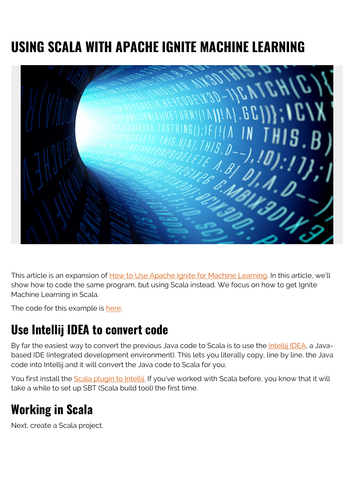## **USING SCALA WITH APACHE IGNITE MACHINE LEARNING**



This article is an expansion of [How to Use Apache Ignite for Machine Learning](https://blogs.bmc.com/blogs/apache-ignite-machine-learning/). In this article, we'll show how to code the same program, but using Scala instead. We focus on how to get Ignite Machine Learning in Scala.

The code for this example is [here.](https://github.com/werowe/InsightML/blob/master/Main.scala)

## **Use Intellij IDEA to convert code**

By far the easiest way to convert the previous Java code to Scala is to use the *Intellij IDEA*, a Javabased IDE (integrated development environment). This lets you literally copy, line by line, the Java code into Intellij and it will convert the Java code to Scala for you.

You first install the [Scala plugin to Intellij.](https://plugins.jetbrains.com/plugin/1347-scala) If you've worked with Scala before, you know that it will take a while to set up SBT (Scala build tool) the first time.

## **Working in Scala**

Next, create a Scala project.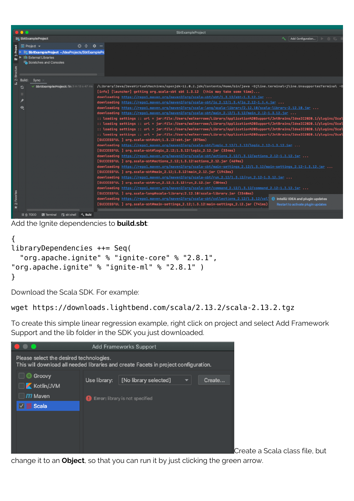|                           | $\bullet\bullet\bullet$                                                                             | SbtExampleProject                                                                                                                                                                                                                                                                                                                                                                                                                                                                                                                                                                                                                                                                                                                                                                                                                                                                                                                                                                                                                                                                                                                                                                                                                                                                                                                                                                                                                                                                                                                                                                                                                                                                                                                                                                                                                                                                                                                                                                                                                                                                                                                                                                                                                                                                                                                                                                   |
|---------------------------|-----------------------------------------------------------------------------------------------------|-------------------------------------------------------------------------------------------------------------------------------------------------------------------------------------------------------------------------------------------------------------------------------------------------------------------------------------------------------------------------------------------------------------------------------------------------------------------------------------------------------------------------------------------------------------------------------------------------------------------------------------------------------------------------------------------------------------------------------------------------------------------------------------------------------------------------------------------------------------------------------------------------------------------------------------------------------------------------------------------------------------------------------------------------------------------------------------------------------------------------------------------------------------------------------------------------------------------------------------------------------------------------------------------------------------------------------------------------------------------------------------------------------------------------------------------------------------------------------------------------------------------------------------------------------------------------------------------------------------------------------------------------------------------------------------------------------------------------------------------------------------------------------------------------------------------------------------------------------------------------------------------------------------------------------------------------------------------------------------------------------------------------------------------------------------------------------------------------------------------------------------------------------------------------------------------------------------------------------------------------------------------------------------------------------------------------------------------------------------------------------------|
|                           | <b>EL SbtExampleProject</b>                                                                         | Add Configuration<br>$\triangleright$ $\pm$ $\in$ $\perp$<br>≺                                                                                                                                                                                                                                                                                                                                                                                                                                                                                                                                                                                                                                                                                                                                                                                                                                                                                                                                                                                                                                                                                                                                                                                                                                                                                                                                                                                                                                                                                                                                                                                                                                                                                                                                                                                                                                                                                                                                                                                                                                                                                                                                                                                                                                                                                                                      |
| <b>Project</b>            | $\odot$ $\div$ $\circ$ $-$<br>$\blacksquare$ Project $\blacktriangledown$                           |                                                                                                                                                                                                                                                                                                                                                                                                                                                                                                                                                                                                                                                                                                                                                                                                                                                                                                                                                                                                                                                                                                                                                                                                                                                                                                                                                                                                                                                                                                                                                                                                                                                                                                                                                                                                                                                                                                                                                                                                                                                                                                                                                                                                                                                                                                                                                                                     |
| Ë<br>Structu              | SbtExampleProject ~/IdeaProjects/SbtExamplePro<br>IIII External Libraries<br>Scratches and Consoles |                                                                                                                                                                                                                                                                                                                                                                                                                                                                                                                                                                                                                                                                                                                                                                                                                                                                                                                                                                                                                                                                                                                                                                                                                                                                                                                                                                                                                                                                                                                                                                                                                                                                                                                                                                                                                                                                                                                                                                                                                                                                                                                                                                                                                                                                                                                                                                                     |
| $\tilde{p}^{(1)}_{\rm M}$ | Build:<br>Sync                                                                                      |                                                                                                                                                                                                                                                                                                                                                                                                                                                                                                                                                                                                                                                                                                                                                                                                                                                                                                                                                                                                                                                                                                                                                                                                                                                                                                                                                                                                                                                                                                                                                                                                                                                                                                                                                                                                                                                                                                                                                                                                                                                                                                                                                                                                                                                                                                                                                                                     |
| 2: Favorites              | SbtExampleProject: fin 3 m 13 s 47 ms<br>G<br>$\mathbf{\Theta}$                                     | /Library/Java/JavaVirtualMachines/openjdk-11.0.2.jdk/Contents/Home/bin/java -Djline.terminal=jline.UnsupportedTerminal -D<br>[info] [launcher] getting org.scala-sbt sbt 1.3.12 (this may take some time)<br>downloading https://repo1.maven.org/maven2/org/scala-sbt/sbt/1.3.12/sbt-1.3.12.jar<br>downloading https://repo1.maven.org/maven2/org/scala-sbt/io_2.12/1.3.4/io_2.12-1.3.4.jar<br>downloading https://repo1.maven.org/maven2/org/scala-lang/scala-library/2.12.10/scala-library-2.12.10.jar<br>downloading https://repo1.maven.org/maven2/org/scala-sbt/main_2.12/1.3.12/main_2.12-1.3.12.jar<br>:: loading settings :: url = jar:file:/Users/walkerrowe/Library/Application%20Support/JetBrains/IdeaIC2020.1/plugins/Scal<br>:: loading settings :: url = jar:file:/Users/walkerrowe/Library/Application%20Support/JetBrains/IdeaIC2020.1/plugins/Scal<br>:: loading settings :: url = jar:file:/Users/walkerrowe/Library/Application%20Support/JetBrains/IdeaIC2020.1/plugins/Scal<br>:: loading settings :: url = jar:file:/Users/walkerrowe/Library/Application%20Support/JetBrains/IdeaIC2020.1/plugins/Scal<br>[SUCCESSFUL ] org.scala-sbt#sbt;1.3.12!sbt.jar (875ms)<br>downloading https://repo1.maven.org/maven2/org/scala-sbt/logic_2.12/1.3.12/logic_2.12-1.3.12.jar<br>[SUCCESSFUL ] org.scala-sbt#logic_2.12;1.3.12!logic_2.12.jar (334ms)<br>downloading https://repo1.maven.org/maven2/org/scala-sbt/actions_2.12/1.3.12/actions_2.12-1.3.12.jar<br>[SUCCESSFUL ] org.scala-sbt#actions_2.12;1.3.12!actions_2.12.jar (469ms)<br>downloading https://repo1.maven.org/maven2/org/scala-sbt/main-settings_2.12/1.3.12/main-settings_2.12-1.3.12.jar<br>[SUCCESSFUL ] org.scala-sbt#main_2.12;1.3.12!main_2.12.jar (1943ms)<br>downloading https://repo1.maven.org/maven2/org/scala-sbt/run_2.12/1.3.12/run_2.12-1.3.12.jar<br>[SUCCESSFUL ] org.scala-sbt#run_2.12;1.3.12!run_2.12.jar (304ms)<br>downloading https://repo1.maven.org/maven2/org/scala-sbt/command_2.12/1.3.12/command_2.12-1.3.12.jar<br>[SUCCESSFUL ] org.scala-lang#scala-library;2.12.10!scala-library.jar (2340ms)<br>downloading https://repo1.maven.org/maven2/org/scala-sbt/collections_2.12/1.3.12/col<br><b>t</b> IntelliJ IDEA and plugin updates<br>[SUCCESSFUL ] org.scala-sbt#main-settings_2.12;1.3.12!main-settings_2.12.jar (741ms)<br>Restart to activate plugin updates |
|                           | <b>図 Terminal</b> ■ sbt shell < Suild<br>$\equiv 6:70D0$                                            |                                                                                                                                                                                                                                                                                                                                                                                                                                                                                                                                                                                                                                                                                                                                                                                                                                                                                                                                                                                                                                                                                                                                                                                                                                                                                                                                                                                                                                                                                                                                                                                                                                                                                                                                                                                                                                                                                                                                                                                                                                                                                                                                                                                                                                                                                                                                                                                     |

Add the Ignite dependencies to **build.sbt**:

```
{
libraryDependencies ++= Seq(
   "org.apache.ignite" % "ignite-core" % "2.8.1",
"org.apache.ignite" % "ignite-ml" % "2.8.1" )
}
```
Download the Scala SDK. For example:

## wget https://downloads.lightbend.com/scala/2.13.2/scala-2.13.2.tgz

To create this simple linear regression example, right click on project and select Add Framework Support and the lib folder in the SDK you just downloaded.



Create a Scala class file, but

change it to an **Object**, so that you can run it by just clicking the green arrow.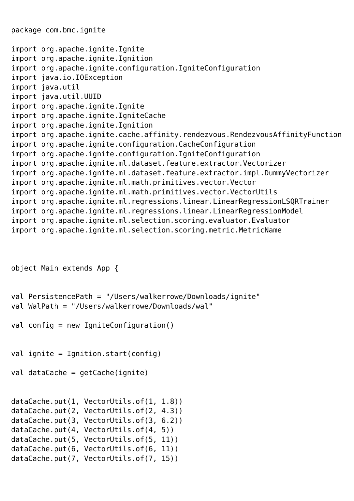package com.bmc.ignite

```
import org.apache.ignite.Ignite
import org.apache.ignite.Ignition
import org.apache.ignite.configuration.IgniteConfiguration
import java.io.IOException
import java.util
import java.util.UUID
import org.apache.ignite.Ignite
import org.apache.ignite.IgniteCache
import org.apache.ignite.Ignition
import org.apache.ignite.cache.affinity.rendezvous.RendezvousAffinityFunction
import org.apache.ignite.configuration.CacheConfiguration
import org.apache.ignite.configuration.IgniteConfiguration
import org.apache.ignite.ml.dataset.feature.extractor.Vectorizer
import org.apache.ignite.ml.dataset.feature.extractor.impl.DummyVectorizer
import org.apache.ignite.ml.math.primitives.vector.Vector
import org.apache.ignite.ml.math.primitives.vector.VectorUtils
import org.apache.ignite.ml.regressions.linear.LinearRegressionLSQRTrainer
import org.apache.ignite.ml.regressions.linear.LinearRegressionModel
import org.apache.ignite.ml.selection.scoring.evaluator.Evaluator
import org.apache.ignite.ml.selection.scoring.metric.MetricName
```

```
object Main extends App {
```

```
val PersistencePath = "/Users/walkerrowe/Downloads/ignite"
val WalPath = "/Users/walkerrowe/Downloads/wal"
```

```
val config = new IgniteConfiguration()
```
val ignite = Ignition.start(config)

```
val dataCache = getCache(ignite)
```

```
dataCache.put(1, VectorUtils.of(1, 1.8))
dataCache.put(2, VectorUtils.of(2, 4.3))
dataCache.put(3, VectorUtils.of(3, 6.2))
dataCache.put(4, VectorUtils.of(4, 5))
dataCache.put(5, VectorUtils.of(5, 11))
dataCache.put(6, VectorUtils.of(6, 11))
dataCache.put(7, VectorUtils.of(7, 15))
```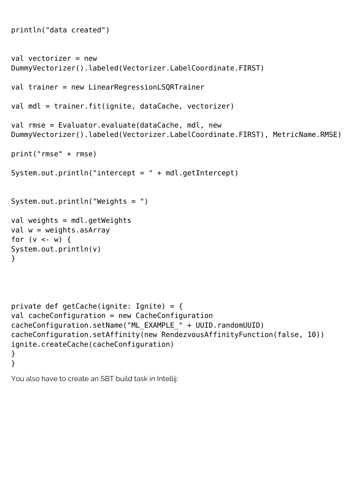```
println("data created")
val vectorizer = new
DummyVectorizer().labeled(Vectorizer.LabelCoordinate.FIRST)
val trainer = new LinearRegressionLSQRTrainer
val mdl = trainer.fit(ignite, dataCache, vectorizer)
val rmse = Evaluator.evaluate(dataCache, mdl, new
DummyVectorizer().labeled(Vectorizer.LabelCoordinate.FIRST), MetricName.RMSE)
print("rmse" + rmse)
System.out.println("intercept = " + mdl.getIntercept)
System.out.println("Weights = ")
val weights = mdl.getWeights
val w = weights.asArrayfor (v < -w) {
System.out.println(v)
}
private def getCache(ignite: Ignite) = {
val cacheConfiguration = new CacheConfiguration
cacheConfiguration.setName("ML_EXAMPLE_" + UUID.randomUUID)
cacheConfiguration.setAffinity(new RendezvousAffinityFunction(false, 10))
ignite.createCache(cacheConfiguration)
```
You also have to create an SBT build task in Intellij:

} }